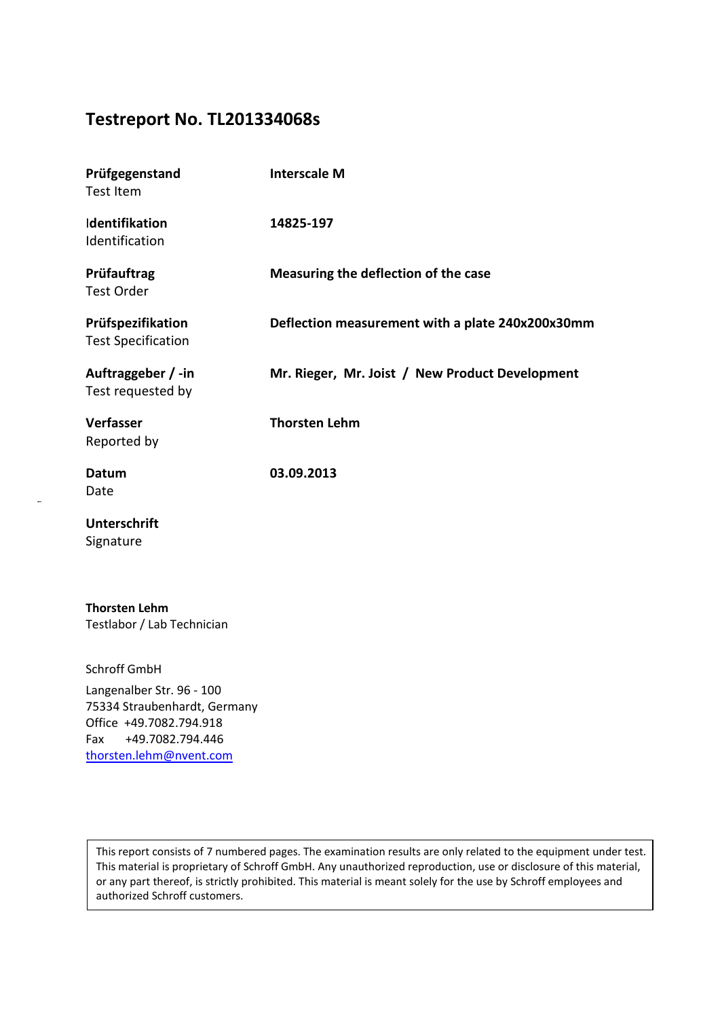# **Testreport No. TL201334068s**

| Prüfgegenstand<br><b>Test Item</b>                 | <b>Interscale M</b>                              |
|----------------------------------------------------|--------------------------------------------------|
| Identifikation<br>Identification                   | 14825-197                                        |
| Prüfauftrag<br><b>Test Order</b>                   | Measuring the deflection of the case             |
| Prüfspezifikation<br><b>Test Specification</b>     | Deflection measurement with a plate 240x200x30mm |
| Auftraggeber / -in<br>Test requested by            | Mr. Rieger, Mr. Joist / New Product Development  |
| Verfasser<br>Reported by                           | <b>Thorsten Lehm</b>                             |
| Datum<br>Date                                      | 03.09.2013                                       |
| <b>Unterschrift</b><br>Signature                   |                                                  |
| <b>Thorsten Lehm</b><br>Testlabor / Lab Technician |                                                  |

Schroff GmbH Langenalber Str. 96 - 100 75334 Straubenhardt, Germany Office +49.7082.794.918 Fax +49.7082.794.446

[thorsten.lehm@](mailto:thorsten.lehm@pentair.com)nvent.com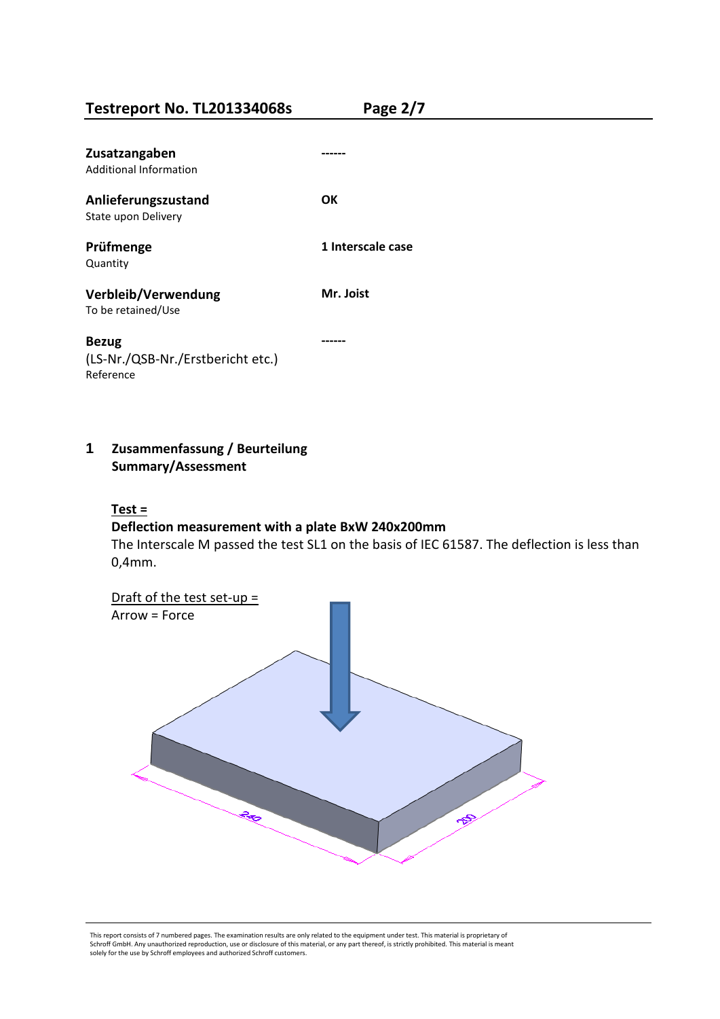**Testreport No. TL201334068s Page 2/7**

| Zusatzangaben<br>Additional Information                        |                   |
|----------------------------------------------------------------|-------------------|
| Anlieferungszustand<br>State upon Delivery                     | OΚ                |
| Prüfmenge<br>Quantity                                          | 1 Interscale case |
| Verbleib/Verwendung<br>To be retained/Use                      | Mr. Joist         |
| <b>Bezug</b><br>(LS-Nr./QSB-Nr./Erstbericht etc.)<br>Reference |                   |

# **1 Zusammenfassung / Beurteilung Summary/Assessment**

## **Test =**

# **Deflection measurement with a plate BxW 240x200mm**

The Interscale M passed the test SL1 on the basis of IEC 61587. The deflection is less than 0,4mm.

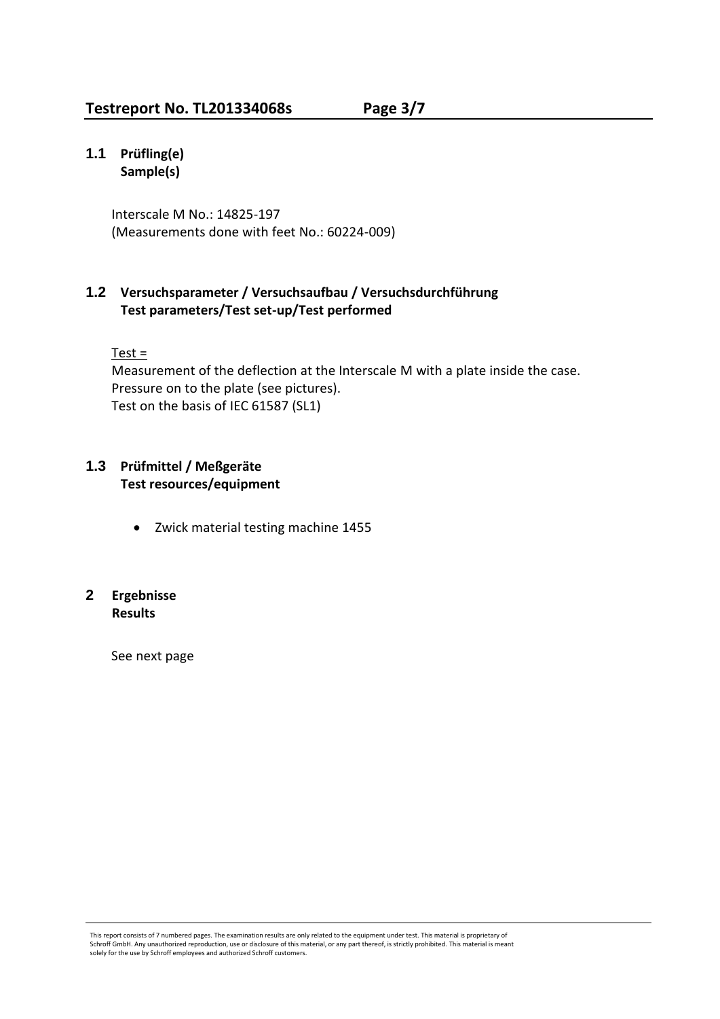# **1.1 Prüfling(e) Sample(s)**

Interscale M No.: 14825-197 (Measurements done with feet No.: 60224-009)

# **1.2 Versuchsparameter / Versuchsaufbau / Versuchsdurchführung Test parameters/Test set-up/Test performed**

 $Test =$ 

Measurement of the deflection at the Interscale M with a plate inside the case. Pressure on to the plate (see pictures). Test on the basis of IEC 61587 (SL1)

# **1.3 Prüfmittel / Meßgeräte Test resources/equipment**

• Zwick material testing machine 1455

# **2 Ergebnisse Results**

See next page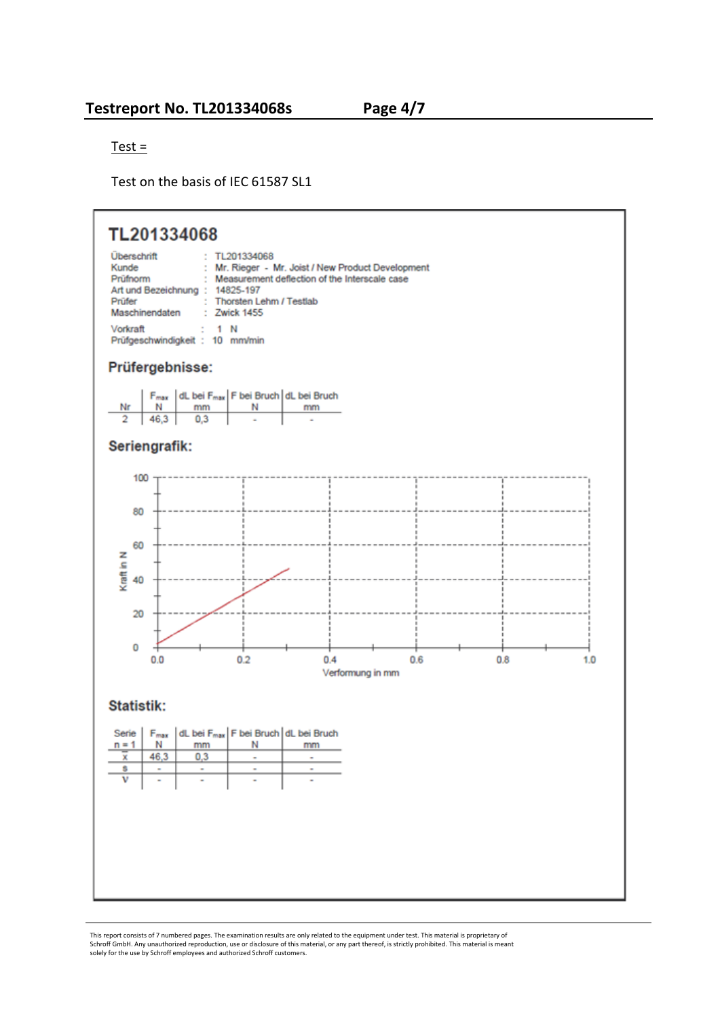Test =

Test on the basis of IEC 61587 SL1

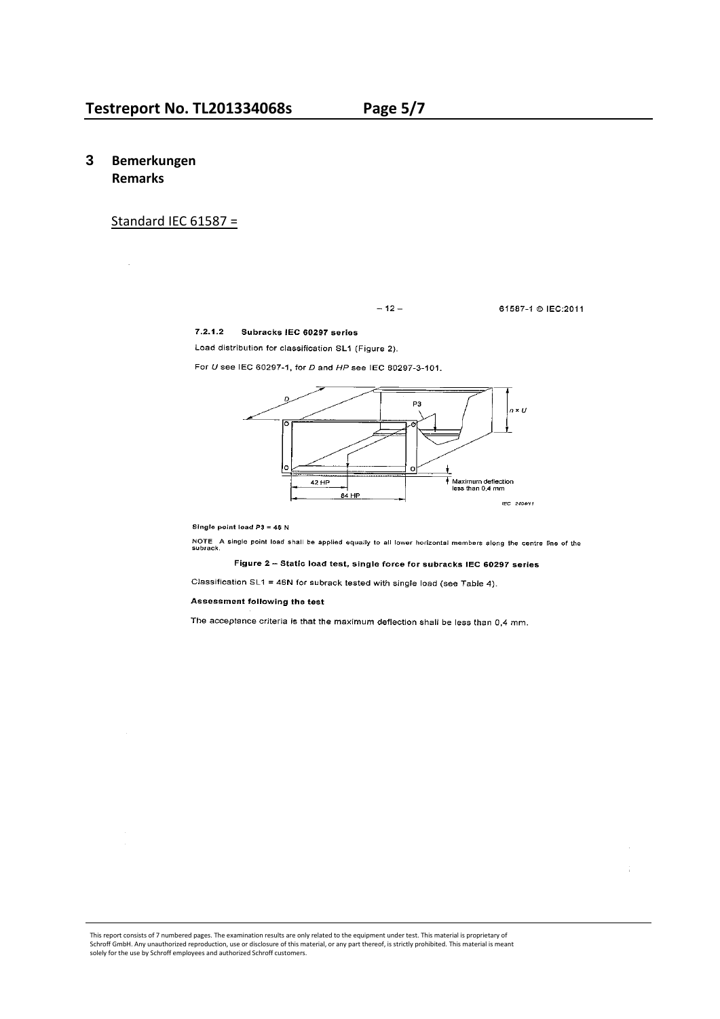### **3 Bemerkungen Remarks**

in.<br>Se

#### Standard IEC 61587 =

 $-12-$ 

61587-1 © IEC:2011

 $\frac{1}{4}$ 

#### 7.2.1.2 Subracks IEC 60297 series

Load distribution for classification SL1 (Figure 2).

For U see IEC 60297-1, for D and HP see IEC 60297-3-101.



Single point load  $P3 = 46 N$ 

NOTE A single point load shall be applied equally to all lower horizontal members along the centre line of the<br>subrack.

#### Figure 2 - Static load test, single force for subracks IEC 60297 series

Classification SL1 = 46N for subrack tested with single load (see Table 4).

Assessment following the test

The acceptance criteria is that the maximum deflection shall be less than 0,4 mm.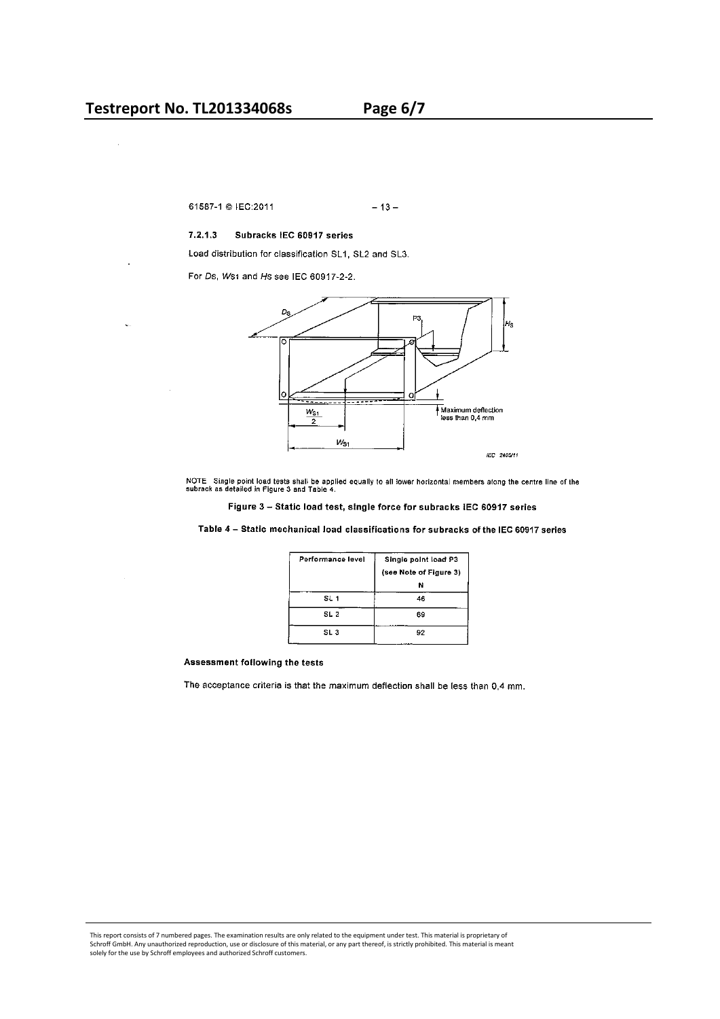61587-1 @ IEC:2011  $-13-$ 

#### $7.2.1.3$ Subracks IEC 60917 series

Load distribution for classification SL1, SL2 and SL3.

For Ds, Ws1 and Hs see IEC 60917-2-2.



NOTE Single point load tests shall be applied equally to all lower horizontal members along the centre line of the<br>subrack as detailed in Figure 3 and Table 4.

Figure 3 - Static load test, single force for subracks IEC 60917 series

Table 4 - Static mechanical load classifications for subracks of the IEC 60917 series

| Performance level | Single point load P3   |
|-------------------|------------------------|
|                   | (see Note of Figure 3) |
|                   | N                      |
| SL 1              | 46                     |
| SL 2              | 69                     |
| SL 3              | 92                     |

#### Assessment following the tests

The acceptance criteria is that the maximum deflection shall be less than 0,4 mm.